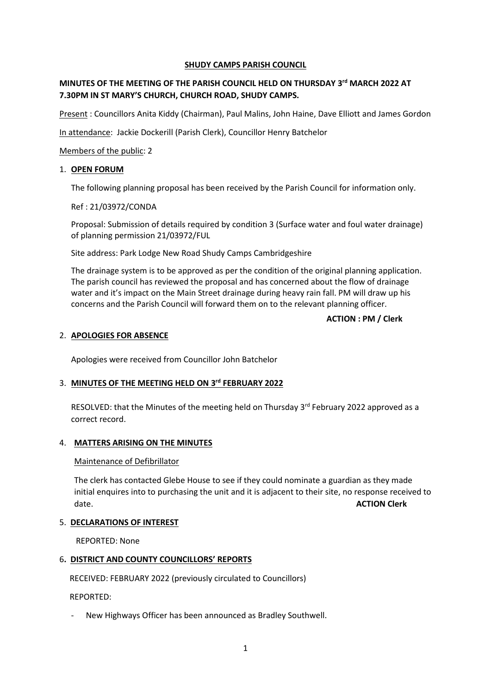### **SHUDY CAMPS PARISH COUNCIL**

# **MINUTES OF THE MEETING OF THE PARISH COUNCIL HELD ON THURSDAY 3 rd MARCH 2022 AT 7.30PM IN ST MARY'S CHURCH, CHURCH ROAD, SHUDY CAMPS.**

Present : Councillors Anita Kiddy (Chairman), Paul Malins, John Haine, Dave Elliott and James Gordon

In attendance: Jackie Dockerill (Parish Clerk), Councillor Henry Batchelor

Members of the public: 2

### 1. **OPEN FORUM**

The following planning proposal has been received by the Parish Council for information only.

Ref : 21/03972/CONDA

Proposal: Submission of details required by condition 3 (Surface water and foul water drainage) of planning permission 21/03972/FUL

Site address: Park Lodge New Road Shudy Camps Cambridgeshire

The drainage system is to be approved as per the condition of the original planning application. The parish council has reviewed the proposal and has concerned about the flow of drainage water and it's impact on the Main Street drainage during heavy rain fall. PM will draw up his concerns and the Parish Council will forward them on to the relevant planning officer.

### **ACTION : PM / Clerk**

### 2. **APOLOGIES FOR ABSENCE**

Apologies were received from Councillor John Batchelor

# 3. **MINUTES OF THE MEETING HELD ON 3 rd FEBRUARY 2022**

RESOLVED: that the Minutes of the meeting held on Thursday 3<sup>rd</sup> February 2022 approved as a correct record.

### 4. **MATTERS ARISING ON THE MINUTES**

### Maintenance of Defibrillator

The clerk has contacted Glebe House to see if they could nominate a guardian as they made initial enquires into to purchasing the unit and it is adjacent to their site, no response received to date. **ACTION Clerk**

### 5. **DECLARATIONS OF INTEREST**

REPORTED: None

### 6**. DISTRICT AND COUNTY COUNCILLORS' REPORTS**

RECEIVED: FEBRUARY 2022 (previously circulated to Councillors)

REPORTED:

New Highways Officer has been announced as Bradley Southwell.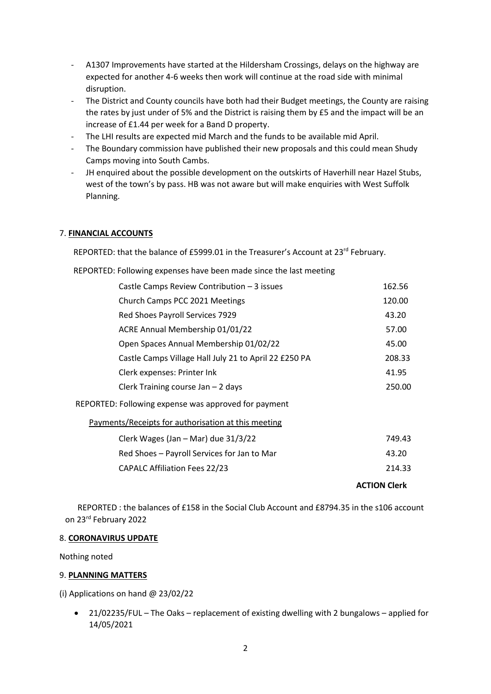- A1307 Improvements have started at the Hildersham Crossings, delays on the highway are expected for another 4-6 weeks then work will continue at the road side with minimal disruption.
- The District and County councils have both had their Budget meetings, the County are raising the rates by just under of 5% and the District is raising them by £5 and the impact will be an increase of £1.44 per week for a Band D property.
- The LHI results are expected mid March and the funds to be available mid April.
- The Boundary commission have published their new proposals and this could mean Shudy Camps moving into South Cambs.
- JH enquired about the possible development on the outskirts of Haverhill near Hazel Stubs, west of the town's by pass. HB was not aware but will make enquiries with West Suffolk Planning.

### 7. **FINANCIAL ACCOUNTS**

REPORTED: that the balance of £5999.01 in the Treasurer's Account at 23<sup>rd</sup> February.

REPORTED: Following expenses have been made since the last meeting

| Castle Camps Review Contribution - 3 issues           | 162.56              |
|-------------------------------------------------------|---------------------|
| Church Camps PCC 2021 Meetings                        | 120.00              |
| Red Shoes Payroll Services 7929                       | 43.20               |
| ACRE Annual Membership 01/01/22                       | 57.00               |
| Open Spaces Annual Membership 01/02/22                | 45.00               |
| Castle Camps Village Hall July 21 to April 22 £250 PA | 208.33              |
| Clerk expenses: Printer Ink                           | 41.95               |
| Clerk Training course Jan - 2 days                    | 250.00              |
| REPORTED: Following expense was approved for payment  |                     |
| Payments/Receipts for authorisation at this meeting   |                     |
| Clerk Wages (Jan - Mar) due 31/3/22                   | 749.43              |
| Red Shoes - Payroll Services for Jan to Mar           | 43.20               |
| <b>CAPALC Affiliation Fees 22/23</b>                  | 214.33              |
|                                                       | <b>ACTION Clerk</b> |

 REPORTED : the balances of £158 in the Social Club Account and £8794.35 in the s106 account on 23rd February 2022

#### 8. **CORONAVIRUS UPDATE**

Nothing noted

### 9. **PLANNING MATTERS**

(i) Applications on hand @ 23/02/22

 21/02235/FUL – The Oaks – replacement of existing dwelling with 2 bungalows – applied for 14/05/2021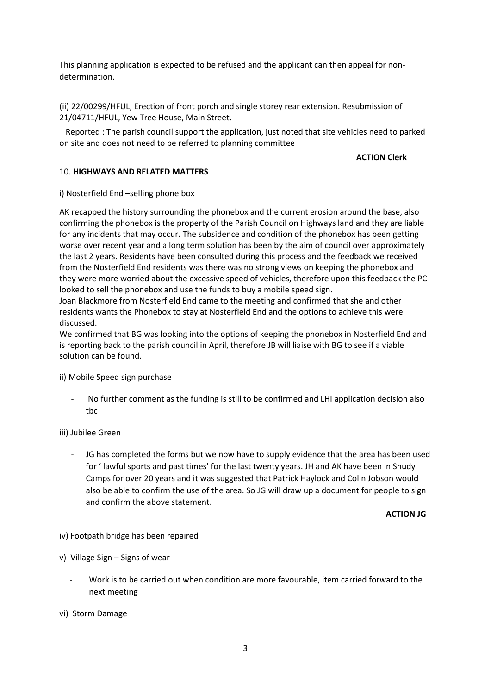This planning application is expected to be refused and the applicant can then appeal for nondetermination.

(ii) 22/00299/HFUL, Erection of front porch and single storey rear extension. Resubmission of 21/04711/HFUL, Yew Tree House, Main Street.

 Reported : The parish council support the application, just noted that site vehicles need to parked on site and does not need to be referred to planning committee

#### **ACTION Clerk**

#### 10. **HIGHWAYS AND RELATED MATTERS**

i) Nosterfield End –selling phone box

AK recapped the history surrounding the phonebox and the current erosion around the base, also confirming the phonebox is the property of the Parish Council on Highways land and they are liable for any incidents that may occur. The subsidence and condition of the phonebox has been getting worse over recent year and a long term solution has been by the aim of council over approximately the last 2 years. Residents have been consulted during this process and the feedback we received from the Nosterfield End residents was there was no strong views on keeping the phonebox and they were more worried about the excessive speed of vehicles, therefore upon this feedback the PC looked to sell the phonebox and use the funds to buy a mobile speed sign.

Joan Blackmore from Nosterfield End came to the meeting and confirmed that she and other residents wants the Phonebox to stay at Nosterfield End and the options to achieve this were discussed.

We confirmed that BG was looking into the options of keeping the phonebox in Nosterfield End and is reporting back to the parish council in April, therefore JB will liaise with BG to see if a viable solution can be found.

ii) Mobile Speed sign purchase

No further comment as the funding is still to be confirmed and LHI application decision also tbc

### iii) Jubilee Green

JG has completed the forms but we now have to supply evidence that the area has been used for ' lawful sports and past times' for the last twenty years. JH and AK have been in Shudy Camps for over 20 years and it was suggested that Patrick Haylock and Colin Jobson would also be able to confirm the use of the area. So JG will draw up a document for people to sign and confirm the above statement.

#### **ACTION JG**

iv) Footpath bridge has been repaired

- v) Village Sign Signs of wear
	- Work is to be carried out when condition are more favourable, item carried forward to the next meeting
- vi) Storm Damage